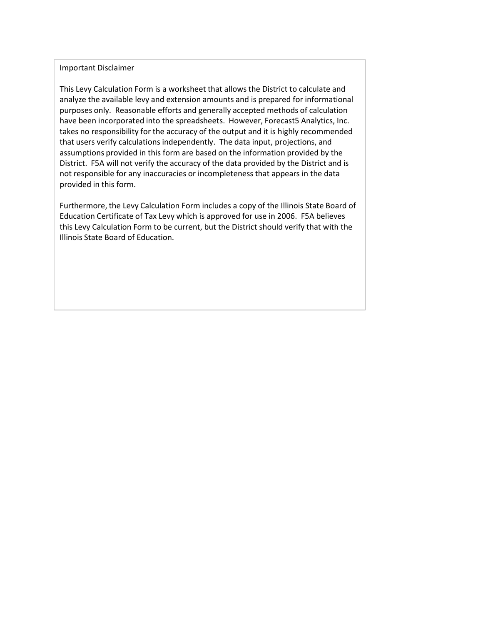#### Important Disclaimer

This Levy Calculation Form is a worksheet that allows the District to calculate and analyze the available levy and extension amounts and is prepared for informational purposes only. Reasonable efforts and generally accepted methods of calculation have been incorporated into the spreadsheets. However, Forecast5 Analytics, Inc. takes no responsibility for the accuracy of the output and it is highly recommended that users verify calculations independently. The data input, projections, and assumptions provided in this form are based on the information provided by the District. F5A will not verify the accuracy of the data provided by the District and is not responsible for any inaccuracies or incompleteness that appears in the data provided in this form.

Furthermore, the Levy Calculation Form includes a copy of the Illinois State Board of Education Certificate of Tax Levy which is approved for use in 2006. F5A believes this Levy Calculation Form to be current, but the District should verify that with the Illinois State Board of Education.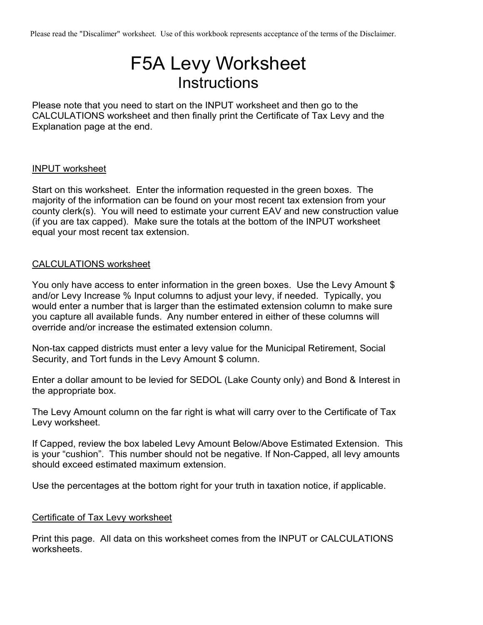Please read the "Discalimer" worksheet. Use of this workbook represents acceptance of the terms of the Disclaimer.

# F5A Levy Worksheet **Instructions**

Please note that you need to start on the INPUT worksheet and then go to the CALCULATIONS worksheet and then finally print the Certificate of Tax Levy and the Explanation page at the end.

#### INPUT worksheet

Start on this worksheet. Enter the information requested in the green boxes. The majority of the information can be found on your most recent tax extension from your county clerk(s). You will need to estimate your current EAV and new construction value (if you are tax capped). Make sure the totals at the bottom of the INPUT worksheet equal your most recent tax extension.

### CALCULATIONS worksheet

You only have access to enter information in the green boxes. Use the Levy Amount \$ and/or Levy Increase % Input columns to adjust your levy, if needed. Typically, you would enter a number that is larger than the estimated extension column to make sure you capture all available funds. Any number entered in either of these columns will override and/or increase the estimated extension column.

Non-tax capped districts must enter a levy value for the Municipal Retirement, Social Security, and Tort funds in the Levy Amount \$ column.

Enter a dollar amount to be levied for SEDOL (Lake County only) and Bond & Interest in the appropriate box.

The Levy Amount column on the far right is what will carry over to the Certificate of Tax Levy worksheet.

If Capped, review the box labeled Levy Amount Below/Above Estimated Extension. This is your "cushion". This number should not be negative. If Non-Capped, all levy amounts should exceed estimated maximum extension.

Use the percentages at the bottom right for your truth in taxation notice, if applicable.

### Certificate of Tax Levy worksheet

Print this page. All data on this worksheet comes from the INPUT or CALCULATIONS worksheets.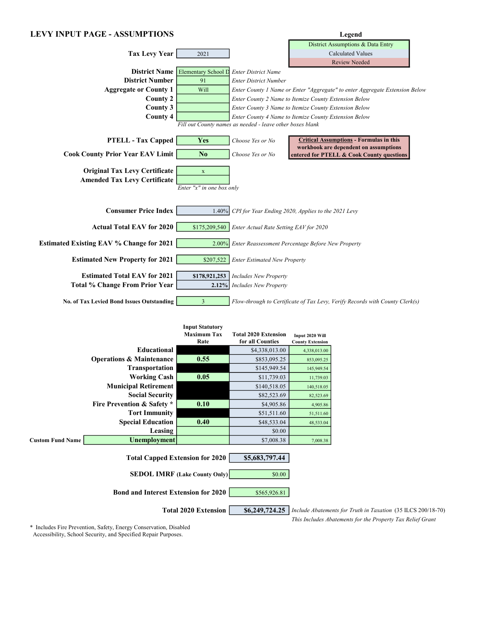#### LEVY INPUT PAGE - ASSUMPTIONS Legend

|                                                  |                                   |                                                           | District Assumptions & Data Entry                                                       |
|--------------------------------------------------|-----------------------------------|-----------------------------------------------------------|-----------------------------------------------------------------------------------------|
| <b>Tax Levy Year</b>                             | 2021                              |                                                           | <b>Calculated Values</b>                                                                |
|                                                  |                                   |                                                           | <b>Review Needed</b>                                                                    |
|                                                  | District Name Elementary School D | <b>Enter District Name</b>                                |                                                                                         |
| <b>District Number</b>                           | 91                                | <b>Enter District Number</b>                              |                                                                                         |
| <b>Aggregate or County 1</b>                     | Will                              |                                                           | Enter County 1 Name or Enter "Aggregate" to enter Aggregate Extension Below             |
| <b>County 2</b>                                  |                                   |                                                           | Enter County 2 Name to Itemize County Extension Below                                   |
| County 3                                         |                                   |                                                           | Enter County 3 Name to Itemize County Extension Below                                   |
| <b>County 4</b>                                  |                                   |                                                           | Enter County 4 Name to Itemize County Extension Below                                   |
|                                                  |                                   | Fill out County names as needed - leave other boxes blank |                                                                                         |
| <b>PTELL - Tax Capped</b>                        | <b>Yes</b>                        | Choose Yes or No                                          | <b>Critical Assumptions - Formulas in this</b><br>workbook are dependent on assumptions |
| <b>Cook County Prior Year EAV Limit</b>          | No                                | Choose Yes or No                                          | entered for PTELL & Cook County questions                                               |
| <b>Original Tax Levy Certificate</b>             | $\mathbf X$                       |                                                           |                                                                                         |
| <b>Amended Tax Levy Certificate</b>              |                                   |                                                           |                                                                                         |
|                                                  | Enter "x" in one box only         |                                                           |                                                                                         |
|                                                  |                                   |                                                           |                                                                                         |
| <b>Consumer Price Index</b>                      | 1.40%                             |                                                           | CPI for Year Ending 2020, Applies to the 2021 Levy                                      |
| <b>Actual Total EAV for 2020</b>                 | \$175,209,540                     | Enter Actual Rate Setting EAV for 2020                    |                                                                                         |
| Estimated Existing EAV % Change for 2021         | 2.00%                             |                                                           | Enter Reassessment Percentage Before New Property                                       |
|                                                  |                                   |                                                           |                                                                                         |
| <b>Estimated New Property for 2021</b>           | \$207,522                         | <b>Enter Estimated New Property</b>                       |                                                                                         |
| <b>Estimated Total EAV for 2021</b>              | \$178,921,253                     | <b>Includes New Property</b>                              |                                                                                         |
| <b>Total % Change From Prior Year</b>            | 2.12%                             | <b>Includes New Property</b>                              |                                                                                         |
|                                                  |                                   |                                                           |                                                                                         |
| <b>No. of Tax Levied Bond Issues Outstanding</b> | 3                                 |                                                           | Flow-through to Certificate of Tax Levy, Verify Records with County Clerk(s)            |

|                         |                                                         | <b>Input Statutory</b><br><b>Maximum Tax</b><br>Rate | <b>Total 2020 Extension</b><br>for all Counties | Input 2020 Will<br><b>County Extension</b> |                                                              |
|-------------------------|---------------------------------------------------------|------------------------------------------------------|-------------------------------------------------|--------------------------------------------|--------------------------------------------------------------|
|                         | Educational                                             |                                                      | \$4,338,013.00                                  | 4,338,013.00                               |                                                              |
|                         | <b>Operations &amp; Maintenance</b>                     | 0.55                                                 | \$853,095.25                                    | 853,095.25                                 |                                                              |
|                         | <b>Transportation</b>                                   |                                                      | \$145,949.54                                    | 145,949.54                                 |                                                              |
|                         | <b>Working Cash</b>                                     | 0.05                                                 | \$11,739.03                                     | 11,739.03                                  |                                                              |
|                         | <b>Municipal Retirement</b>                             |                                                      | \$140,518.05                                    | 140,518.05                                 |                                                              |
|                         | <b>Social Security</b>                                  |                                                      | \$82,523.69                                     | 82,523.69                                  |                                                              |
|                         | <b>Fire Prevention &amp; Safety *</b>                   | 0.10                                                 | \$4,905.86                                      | 4,905.86                                   |                                                              |
|                         | <b>Tort Immunity</b>                                    |                                                      | \$51,511.60                                     | 51,511.60                                  |                                                              |
|                         | <b>Special Education</b>                                | 0.40                                                 | \$48,533.04                                     | 48,533.04                                  |                                                              |
|                         | Leasing                                                 |                                                      | \$0.00                                          |                                            |                                                              |
| <b>Custom Fund Name</b> | Unemployment                                            |                                                      | \$7,008.38                                      | 7,008.38                                   |                                                              |
|                         | <b>Total Capped Extension for 2020</b>                  |                                                      | \$5,683,797.44                                  |                                            |                                                              |
|                         |                                                         | <b>SEDOL IMRF</b> (Lake County Only)                 | \$0.00                                          |                                            |                                                              |
|                         | <b>Bond and Interest Extension for 2020</b>             |                                                      | \$565,926.81                                    |                                            |                                                              |
|                         |                                                         | <b>Total 2020 Extension</b>                          | \$6,249,724.25                                  |                                            | Include Abatements for Truth in Taxation (35 ILCS 200/18-70) |
|                         | $\sim$ $\sim$ $\sim$ $\sim$ $\sim$ $\sim$ $\sim$ $\sim$ |                                                      |                                                 |                                            | This Includes Abatements for the Property Tax Relief Grant   |

\* Includes Fire Prevention, Safety, Energy Conservation, Disabled Accessibility, School Security, and Specified Repair Purposes.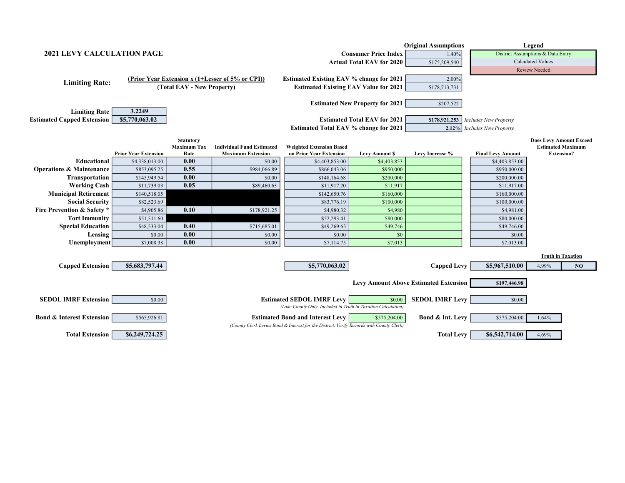|                                       |                                                                  |                            |                                                  |                                                                                          |                                        | <b>Original Assumptions</b>                  |                                   | Legend                         |    |
|---------------------------------------|------------------------------------------------------------------|----------------------------|--------------------------------------------------|------------------------------------------------------------------------------------------|----------------------------------------|----------------------------------------------|-----------------------------------|--------------------------------|----|
|                                       | <b>2021 LEVY CALCULATION PAGE</b><br><b>Consumer Price Index</b> |                            |                                                  |                                                                                          |                                        |                                              | District Assumptions & Data Entry |                                |    |
|                                       |                                                                  |                            |                                                  |                                                                                          | <b>Actual Total EAV for 2020</b>       | \$175,209,540                                | <b>Calculated Values</b>          |                                |    |
|                                       |                                                                  |                            |                                                  |                                                                                          |                                        |                                              |                                   | <b>Review Needed</b>           |    |
|                                       |                                                                  |                            | (Prior Year Extension x (1+Lesser of 5% or CPI)) | <b>Estimated Existing EAV % change for 2021</b>                                          |                                        | 2.00%                                        |                                   |                                |    |
| <b>Limiting Rate:</b>                 |                                                                  | (Total EAV - New Property) |                                                  | <b>Estimated Existing EAV Value for 2021</b>                                             |                                        | \$178,713,731                                |                                   |                                |    |
|                                       |                                                                  |                            |                                                  |                                                                                          |                                        |                                              |                                   |                                |    |
|                                       |                                                                  |                            |                                                  |                                                                                          | <b>Estimated New Property for 2021</b> | \$207,522                                    |                                   |                                |    |
| <b>Limiting Rate</b>                  | 3.2249                                                           |                            |                                                  |                                                                                          |                                        |                                              |                                   |                                |    |
| <b>Estimated Capped Extension</b>     | \$5,770,063.02                                                   |                            |                                                  |                                                                                          | <b>Estimated Total EAV for 2021</b>    | \$178,921,253                                | <b>Includes New Property</b>      |                                |    |
|                                       |                                                                  |                            |                                                  | <b>Estimated Total EAV % change for 2021</b>                                             |                                        | 2.12%                                        | <b>Includes New Property</b>      |                                |    |
|                                       |                                                                  | <b>Statutory</b>           |                                                  |                                                                                          |                                        |                                              |                                   | <b>Does Levy Amount Exceed</b> |    |
|                                       |                                                                  | <b>Maximum Tax</b>         | <b>Individual Fund Estimated</b>                 | <b>Weighted Extension Based</b>                                                          |                                        |                                              |                                   | <b>Estimated Maximum</b>       |    |
|                                       | <b>Prior Year Extension</b>                                      | Rate                       | <b>Maximum Extension</b>                         | on Prior Year Extension                                                                  | <b>Levy Amount \$</b>                  | Levy Increase %                              | <b>Final Levy Amount</b>          | <b>Extension?</b>              |    |
| Educational                           | \$4,338,013.00                                                   | 0.00                       | \$0.00                                           | \$4,403,853.00                                                                           | \$4,403,853                            |                                              | \$4,403,853.00                    |                                |    |
| <b>Operations &amp; Maintenance</b>   | \$853,095.25                                                     | 0.55                       | \$984,066.89                                     | \$866,043.06                                                                             | \$950,000                              |                                              | \$950,000.00                      |                                |    |
| <b>Transportation</b>                 | \$145,949.54                                                     | 0.00                       | \$0.00                                           | \$148,164.68                                                                             | \$200,000                              |                                              | \$200,000.00                      |                                |    |
| <b>Working Cash</b>                   | \$11,739.03                                                      | 0.05                       | \$89,460.63                                      | \$11,917.20                                                                              | \$11,917                               |                                              | \$11,917.00                       |                                |    |
| <b>Municipal Retirement</b>           | \$140,518.05                                                     |                            |                                                  | \$142,650.76                                                                             | \$160,000                              |                                              | \$160,000.00                      |                                |    |
| <b>Social Security</b>                | \$82,523.69                                                      |                            |                                                  | \$83,776.19                                                                              | \$100,000                              |                                              | \$100,000.00                      |                                |    |
| <b>Fire Prevention &amp; Safety *</b> | \$4,905.86                                                       | 0.10                       | \$178,921.25                                     | \$4,980.32                                                                               | \$4,980                                |                                              | \$4,981.00                        |                                |    |
| <b>Tort Immunity</b>                  | \$51,511.60                                                      |                            |                                                  | \$52,293.41                                                                              | \$80,000                               |                                              | \$80,000.00                       |                                |    |
| <b>Special Education</b>              | \$48,533.04                                                      | 0.40                       | \$715,685.01                                     | \$49,269.65                                                                              | \$49,746                               |                                              | \$49,746.00                       |                                |    |
| Leasing                               | \$0.00                                                           | 0.00                       | \$0.00                                           | \$0.00                                                                                   | \$0                                    |                                              | \$0.00                            |                                |    |
| Unemployment                          | \$7,008.38                                                       | 0.00                       | \$0.00                                           | \$7,114.75                                                                               | \$7,013                                |                                              | \$7,013.00                        |                                |    |
|                                       |                                                                  |                            |                                                  |                                                                                          |                                        |                                              |                                   | <b>Truth in Taxation</b>       |    |
|                                       |                                                                  |                            |                                                  |                                                                                          |                                        |                                              |                                   |                                |    |
| <b>Capped Extension</b>               | \$5,683,797.44                                                   |                            |                                                  | \$5,770,063.02                                                                           |                                        | <b>Capped Levy</b>                           | \$5,967,510.00                    | 4.99%                          | NO |
|                                       |                                                                  |                            |                                                  |                                                                                          |                                        |                                              |                                   |                                |    |
|                                       |                                                                  |                            |                                                  |                                                                                          |                                        | <b>Levy Amount Above Estimated Extension</b> | \$197,446.98                      |                                |    |
|                                       |                                                                  |                            |                                                  |                                                                                          |                                        |                                              |                                   |                                |    |
| <b>SEDOL IMRF Extension</b>           | \$0.00                                                           |                            |                                                  | <b>Estimated SEDOL IMRF Levy</b>                                                         | \$0.00                                 | <b>SEDOL IMRF Levy</b>                       | \$0.00                            |                                |    |
|                                       |                                                                  |                            |                                                  | (Lake County Only, Included in Truth in Taxation Calculation)                            |                                        |                                              |                                   |                                |    |
| <b>Bond &amp; Interest Extension</b>  | \$565,926.81                                                     |                            |                                                  | <b>Estimated Bond and Interest Levy</b>                                                  | \$575,204.00                           | <b>Bond &amp; Int. Levy</b>                  | \$575,204.00                      | 1.64%                          |    |
|                                       |                                                                  |                            |                                                  | (County Clerk Levies Bond & Interest for the District, Verify Records with County Clerk) |                                        |                                              |                                   |                                |    |
| <b>Total Extension</b>                | \$6,249,724.25                                                   |                            |                                                  |                                                                                          |                                        | <b>Total Levy</b>                            | \$6,542,714.00                    | 4.69%                          |    |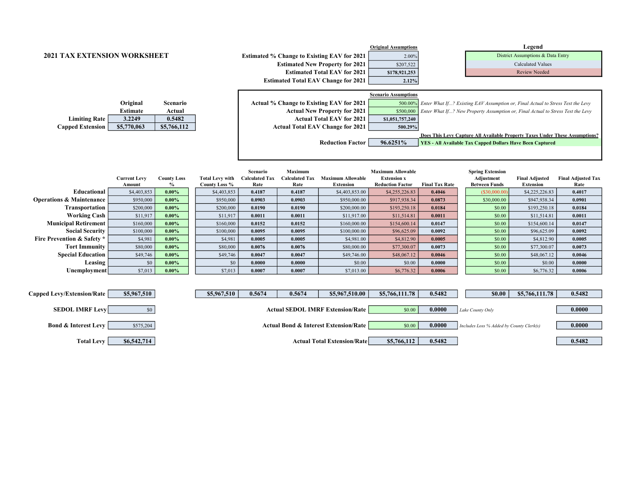|                                       |                     |                    |                        |                                   |                                         |                                                    | <b>Original Assumptions</b>                    |                       |                                                                                         | Legend                            |                           |
|---------------------------------------|---------------------|--------------------|------------------------|-----------------------------------|-----------------------------------------|----------------------------------------------------|------------------------------------------------|-----------------------|-----------------------------------------------------------------------------------------|-----------------------------------|---------------------------|
| <b>2021 TAX EXTENSION WORKSHEET</b>   |                     |                    |                        |                                   |                                         | <b>Estimated % Change to Existing EAV for 2021</b> | 2.00%                                          |                       |                                                                                         | District Assumptions & Data Entry |                           |
|                                       |                     |                    |                        |                                   |                                         | <b>Estimated New Property for 2021</b>             | \$207,522                                      |                       |                                                                                         | <b>Calculated Values</b>          |                           |
|                                       |                     |                    |                        |                                   |                                         | <b>Estimated Total EAV for 2021</b>                | \$178,921,253                                  |                       |                                                                                         | <b>Review Needed</b>              |                           |
|                                       |                     |                    |                        |                                   |                                         | <b>Estimated Total EAV Change for 2021</b>         | 2.12%                                          |                       |                                                                                         |                                   |                           |
|                                       |                     |                    |                        |                                   |                                         |                                                    |                                                |                       |                                                                                         |                                   |                           |
|                                       |                     |                    |                        |                                   |                                         |                                                    | <b>Scenario Assumptions</b>                    |                       |                                                                                         |                                   |                           |
|                                       | Original            | Scenario           |                        |                                   |                                         | Actual % Change to Existing EAV for 2021           |                                                |                       | 500.00% Enter What If? Existing EAV Assumption or, Final Actual to Stress Test the Levy |                                   |                           |
|                                       | <b>Estimate</b>     | Actual             |                        |                                   |                                         | <b>Actual New Property for 2021</b>                | \$500,000                                      |                       | Enter What If? New Property Assumption or, Final Actual to Stress Test the Levy         |                                   |                           |
| <b>Limiting Rate</b>                  | 3.2249              | 0.5482             |                        | <b>Actual Total EAV for 2021</b>  |                                         |                                                    | \$1,051,757,240                                |                       |                                                                                         |                                   |                           |
| <b>Capped Extension</b>               | \$5,770,063         | \$5,766,112        |                        |                                   |                                         | <b>Actual Total EAV Change for 2021</b>            | 500.29%                                        |                       |                                                                                         |                                   |                           |
|                                       |                     |                    |                        |                                   |                                         |                                                    |                                                |                       | Does This Levy Capture All Available Property Taxes Under These Assumptions?            |                                   |                           |
|                                       |                     |                    |                        |                                   |                                         | <b>Reduction Factor</b>                            | 96.6251%                                       |                       | YES - All Available Tax Capped Dollars Have Been Captured                               |                                   |                           |
|                                       |                     |                    |                        |                                   |                                         |                                                    |                                                |                       |                                                                                         |                                   |                           |
|                                       |                     |                    |                        |                                   |                                         |                                                    |                                                |                       |                                                                                         |                                   |                           |
|                                       |                     |                    |                        |                                   |                                         |                                                    |                                                |                       |                                                                                         |                                   |                           |
|                                       | <b>Current Levy</b> | <b>County Loss</b> | <b>Total Levy with</b> | Scenario<br><b>Calculated Tax</b> | <b>Maximum</b><br><b>Calculated Tax</b> | <b>Maximum Allowable</b>                           | <b>Maximum Allowable</b><br><b>Extension x</b> |                       | <b>Spring Extension</b><br>Adjustment                                                   | <b>Final Adjusted</b>             | <b>Final Adjusted Tax</b> |
|                                       | Amount              | $\%$               | County Loss %          | Rate                              | Rate                                    | <b>Extension</b>                                   | <b>Reduction Factor</b>                        | <b>Final Tax Rate</b> | <b>Between Funds</b>                                                                    | <b>Extension</b>                  | Rate                      |
| Educational                           | \$4,403,853         | $0.00\%$           | \$4,403,853            | 0.4187                            | 0.4187                                  | \$4,403,853.00                                     | \$4,255,226.83                                 | 0.4046                | (S30,000.00)                                                                            | \$4,225,226.83                    | 0.4017                    |
| <b>Operations &amp; Maintenance</b>   | \$950,000           | $0.00\%$           | \$950,000              | 0.0903                            | 0.0903                                  | \$950,000.00                                       | \$917,938.34                                   | 0.0873                | \$30,000.00                                                                             | \$947,938.34                      | 0.0901                    |
| Transportation                        | \$200,000           | $0.00\%$           | \$200,000              | 0.0190                            | 0.0190                                  | \$200,000.00                                       | \$193,250.18                                   | 0.0184                | \$0.00                                                                                  | \$193,250.18                      | 0.0184                    |
| <b>Working Cash</b>                   | \$11,917            | $0.00\%$           | \$11,917               | 0.0011                            | 0.0011                                  | \$11,917.00                                        | \$11,514.81                                    | 0.0011                | \$0.00                                                                                  | \$11,514.81                       | 0.0011                    |
| <b>Municipal Retirement</b>           | \$160,000           | $0.00\%$           | \$160,000              | 0.0152                            | 0.0152                                  | \$160,000.00                                       | \$154,600.14                                   | 0.0147                | \$0.00                                                                                  | \$154,600.14                      | 0.0147                    |
| <b>Social Security</b>                | \$100,000           | $0.00\%$           | \$100,000              | 0.0095                            | 0.0095                                  | \$100,000.00                                       | \$96,625.09                                    | 0.0092                | \$0.00                                                                                  | \$96,625.09                       | 0.0092                    |
| <b>Fire Prevention &amp; Safety *</b> | \$4,981             | $0.00\%$           | \$4,981                | 0.0005                            | 0.0005                                  | \$4,981.00                                         | \$4,812.90                                     | 0.0005                | \$0.00                                                                                  | \$4,812.90                        | 0.0005                    |
| <b>Tort Immunity</b>                  | \$80,000            | $0.00\%$           | \$80,000               | 0.0076                            | 0.0076                                  | \$80,000.00                                        | \$77,300.07                                    | 0.0073                | \$0.00                                                                                  | \$77,300.07                       | 0.0073                    |
| <b>Special Education</b>              | \$49,746            | $0.00\%$           | \$49,746               | 0.0047                            | 0.0047                                  | \$49,746.00                                        | \$48,067.12                                    | 0.0046                | \$0.00                                                                                  | \$48,067.12                       | 0.0046                    |
| Leasing                               | \$0                 | $0.00\%$           | \$0                    | 0.0000                            | 0.0000                                  | \$0.00                                             | \$0.00                                         | 0.0000                | \$0.00                                                                                  | \$0.00                            | 0.0000                    |
| Unemployment                          | \$7,013             | $0.00\%$           | \$7,013                | 0.0007                            | 0.0007                                  | \$7,013.00                                         | \$6,776.32                                     | 0.0006                | \$0.00                                                                                  | \$6,776.32                        | 0.0006                    |
|                                       |                     |                    |                        |                                   |                                         |                                                    |                                                |                       |                                                                                         |                                   |                           |
|                                       |                     |                    |                        |                                   |                                         |                                                    |                                                |                       |                                                                                         |                                   |                           |
| anned Lew/Fytensian/Date              | <b>85 067 510</b>   |                    | 85.067510              | 0.5674                            | 0.5674                                  | \$506751000                                        | 8576611178                                     | 0.5492                | en nn 1                                                                                 | 8576611178                        | 0.5492                    |

| \$5,967,510<br>Capped Levy/Extension/Rate    | \$5,967,510 | 0.5674<br>0.5674                                 | \$5,967,510.00                     | \$5,766,111.78 | 0.5482 | \$0.00<br>\$5,766,111.78                   | 0.5482 |
|----------------------------------------------|-------------|--------------------------------------------------|------------------------------------|----------------|--------|--------------------------------------------|--------|
| <b>SEDOL IMRF Levy</b><br>$\$0$              |             | <b>Actual SEDOL IMRF Extension/Rate</b>          |                                    | \$0.00         | 0.0000 | Lake County Only                           | 0.0000 |
| <b>Bond &amp; Interest Levy</b><br>\$575,204 |             | <b>Actual Bond &amp; Interest Extension/Rate</b> |                                    | \$0.00         | 0.0000 | $Includes Loss % Added by County Clerk(s)$ | 0.0000 |
| \$6,542,714<br><b>Total Levy</b>             |             |                                                  | <b>Actual Total Extension/Rate</b> | \$5,766,112    | 0.5482 |                                            | 0.5482 |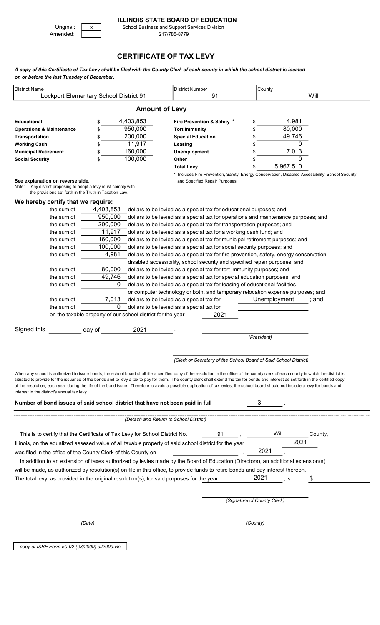### ILLINOIS STATE BOARD OF EDUCATION

Amended: 217/785-8779

Original: X School Business and Support Services Division<br>Amended: 217/785-8779

## CERTIFICATE OF TAX LEVY

A copy of this Certificate of Tax Levy shall be filed with the County Clerk of each county in which the school district is located on or before the last Tuesday of December.

| <b>District Name</b>                                                                                                              | Lockport Elementary School District 91                                                                                                                                                                                                                                                                                                                                                                                                                                                                                                                              | <b>District Number</b><br>91                                                                                                        | County                                                               | Will    |
|-----------------------------------------------------------------------------------------------------------------------------------|---------------------------------------------------------------------------------------------------------------------------------------------------------------------------------------------------------------------------------------------------------------------------------------------------------------------------------------------------------------------------------------------------------------------------------------------------------------------------------------------------------------------------------------------------------------------|-------------------------------------------------------------------------------------------------------------------------------------|----------------------------------------------------------------------|---------|
|                                                                                                                                   | <b>Amount of Levy</b>                                                                                                                                                                                                                                                                                                                                                                                                                                                                                                                                               |                                                                                                                                     |                                                                      |         |
| <b>Educational</b><br><b>Operations &amp; Maintenance</b><br>Transportation<br><b>Working Cash</b><br><b>Municipal Retirement</b> | 4,403,853<br>\$<br>950,000<br>200,000<br>11,917<br>160,000<br>\$                                                                                                                                                                                                                                                                                                                                                                                                                                                                                                    | Fire Prevention & Safety *<br><b>Tort Immunity</b><br><b>Special Education</b><br>Leasing<br>Unemployment                           | 4,981<br>\$<br>80,000<br>\$<br>49,746<br>\$<br>0<br>\$<br>7,013<br>S |         |
| <b>Social Security</b>                                                                                                            | 100,000<br>\$                                                                                                                                                                                                                                                                                                                                                                                                                                                                                                                                                       | Other                                                                                                                               | 0<br>S                                                               |         |
|                                                                                                                                   |                                                                                                                                                                                                                                                                                                                                                                                                                                                                                                                                                                     | <b>Total Levy</b>                                                                                                                   | 5,967,510<br>\$                                                      |         |
| See explanation on reverse side.<br>Note:<br>the provisions set forth in the Truth in Taxation Law.                               | Any district proposing to adopt a levy must comply with                                                                                                                                                                                                                                                                                                                                                                                                                                                                                                             | * Includes Fire Prevention, Safety, Energy Conservation, Disabled Accessibility, School Security,<br>and Specified Repair Purposes. |                                                                      |         |
| We hereby certify that we require:                                                                                                |                                                                                                                                                                                                                                                                                                                                                                                                                                                                                                                                                                     |                                                                                                                                     |                                                                      |         |
| the sum of                                                                                                                        | 4,403,853                                                                                                                                                                                                                                                                                                                                                                                                                                                                                                                                                           | dollars to be levied as a special tax for educational purposes; and                                                                 |                                                                      |         |
| the sum of                                                                                                                        | 950,000                                                                                                                                                                                                                                                                                                                                                                                                                                                                                                                                                             | dollars to be levied as a special tax for operations and maintenance purposes; and                                                  |                                                                      |         |
| the sum of                                                                                                                        | 200,000                                                                                                                                                                                                                                                                                                                                                                                                                                                                                                                                                             | dollars to be levied as a special tax for transportation purposes; and                                                              |                                                                      |         |
| the sum of                                                                                                                        | 11,917                                                                                                                                                                                                                                                                                                                                                                                                                                                                                                                                                              | dollars to be levied as a special tax for a working cash fund; and                                                                  |                                                                      |         |
| the sum of                                                                                                                        | 160,000                                                                                                                                                                                                                                                                                                                                                                                                                                                                                                                                                             | dollars to be levied as a special tax for municipal retirement purposes; and                                                        |                                                                      |         |
| the sum of                                                                                                                        | 100,000                                                                                                                                                                                                                                                                                                                                                                                                                                                                                                                                                             | dollars to be levied as a special tax for social security purposes; and                                                             |                                                                      |         |
| the sum of                                                                                                                        | 4,981                                                                                                                                                                                                                                                                                                                                                                                                                                                                                                                                                               | dollars to be levied as a special tax for fire prevention, safety, energy conservation,                                             |                                                                      |         |
|                                                                                                                                   |                                                                                                                                                                                                                                                                                                                                                                                                                                                                                                                                                                     | disabled accessibility, school security and specified repair purposes; and                                                          |                                                                      |         |
| the sum of                                                                                                                        | 80,000                                                                                                                                                                                                                                                                                                                                                                                                                                                                                                                                                              | dollars to be levied as a special tax for tort immunity purposes; and                                                               |                                                                      |         |
| the sum of                                                                                                                        | 49,746                                                                                                                                                                                                                                                                                                                                                                                                                                                                                                                                                              | dollars to be levied as a special tax for special education purposes; and                                                           |                                                                      |         |
| the sum of                                                                                                                        | 0                                                                                                                                                                                                                                                                                                                                                                                                                                                                                                                                                                   | dollars to be levied as a special tax for leasing of educational facilities                                                         |                                                                      |         |
|                                                                                                                                   |                                                                                                                                                                                                                                                                                                                                                                                                                                                                                                                                                                     | or computer technology or both, and temporary relocation expense purposes; and                                                      |                                                                      |         |
| the sum of                                                                                                                        | 7,013                                                                                                                                                                                                                                                                                                                                                                                                                                                                                                                                                               | dollars to be levied as a special tax for                                                                                           | Unemployment                                                         | and     |
| the sum of                                                                                                                        | 0                                                                                                                                                                                                                                                                                                                                                                                                                                                                                                                                                                   | dollars to be levied as a special tax for                                                                                           |                                                                      |         |
|                                                                                                                                   | on the taxable property of our school district for the year                                                                                                                                                                                                                                                                                                                                                                                                                                                                                                         | 2021                                                                                                                                |                                                                      |         |
|                                                                                                                                   |                                                                                                                                                                                                                                                                                                                                                                                                                                                                                                                                                                     |                                                                                                                                     |                                                                      |         |
| Signed this                                                                                                                       | 2021<br>day of                                                                                                                                                                                                                                                                                                                                                                                                                                                                                                                                                      |                                                                                                                                     |                                                                      |         |
|                                                                                                                                   |                                                                                                                                                                                                                                                                                                                                                                                                                                                                                                                                                                     |                                                                                                                                     | (President)                                                          |         |
|                                                                                                                                   |                                                                                                                                                                                                                                                                                                                                                                                                                                                                                                                                                                     |                                                                                                                                     |                                                                      |         |
|                                                                                                                                   |                                                                                                                                                                                                                                                                                                                                                                                                                                                                                                                                                                     | (Clerk or Secretary of the School Board of Said School District)                                                                    |                                                                      |         |
|                                                                                                                                   |                                                                                                                                                                                                                                                                                                                                                                                                                                                                                                                                                                     |                                                                                                                                     |                                                                      |         |
| interest in the district's annual tax levy.                                                                                       | When any school is authorized to issue bonds, the school board shall file a certified copy of the resolution in the office of the county clerk of each county in which the district is<br>situated to provide for the issuance of the bonds and to levy a tax to pay for them. The county clerk shall extend the tax for bonds and interest as set forth in the certified copy<br>of the resolution, each year during the life of the bond issue. Therefore to avoid a possible duplication of tax levies, the school board should not include a levy for bonds and |                                                                                                                                     |                                                                      |         |
|                                                                                                                                   | Number of bond issues of said school district that have not been paid in full                                                                                                                                                                                                                                                                                                                                                                                                                                                                                       |                                                                                                                                     | 3                                                                    |         |
|                                                                                                                                   |                                                                                                                                                                                                                                                                                                                                                                                                                                                                                                                                                                     |                                                                                                                                     |                                                                      |         |
|                                                                                                                                   | (Detach and Return to School District)                                                                                                                                                                                                                                                                                                                                                                                                                                                                                                                              |                                                                                                                                     |                                                                      |         |
|                                                                                                                                   | This is to certify that the Certificate of Tax Levy for School District No.                                                                                                                                                                                                                                                                                                                                                                                                                                                                                         | 91                                                                                                                                  | Will                                                                 | County, |
|                                                                                                                                   |                                                                                                                                                                                                                                                                                                                                                                                                                                                                                                                                                                     |                                                                                                                                     | 2021                                                                 |         |
|                                                                                                                                   | Illinois, on the equalized assesed value of all taxable property of said school district for the year                                                                                                                                                                                                                                                                                                                                                                                                                                                               |                                                                                                                                     |                                                                      |         |
|                                                                                                                                   | was filed in the office of the County Clerk of this County on                                                                                                                                                                                                                                                                                                                                                                                                                                                                                                       |                                                                                                                                     | 2021                                                                 |         |
|                                                                                                                                   | In addition to an extension of taxes authorized by levies made by the Board of Education (Directors), an additional extension(s)                                                                                                                                                                                                                                                                                                                                                                                                                                    |                                                                                                                                     |                                                                      |         |
|                                                                                                                                   | will be made, as authorized by resolution(s) on file in this office, to provide funds to retire bonds and pay interest thereon.                                                                                                                                                                                                                                                                                                                                                                                                                                     |                                                                                                                                     |                                                                      |         |
|                                                                                                                                   | The total levy, as provided in the original resolution(s), for said purposes for the year                                                                                                                                                                                                                                                                                                                                                                                                                                                                           |                                                                                                                                     | 2021<br>, is                                                         | \$      |
|                                                                                                                                   |                                                                                                                                                                                                                                                                                                                                                                                                                                                                                                                                                                     |                                                                                                                                     |                                                                      |         |
|                                                                                                                                   |                                                                                                                                                                                                                                                                                                                                                                                                                                                                                                                                                                     |                                                                                                                                     |                                                                      |         |
|                                                                                                                                   |                                                                                                                                                                                                                                                                                                                                                                                                                                                                                                                                                                     |                                                                                                                                     | (Signature of County Clerk)                                          |         |
|                                                                                                                                   |                                                                                                                                                                                                                                                                                                                                                                                                                                                                                                                                                                     |                                                                                                                                     |                                                                      |         |
|                                                                                                                                   |                                                                                                                                                                                                                                                                                                                                                                                                                                                                                                                                                                     |                                                                                                                                     |                                                                      |         |
|                                                                                                                                   |                                                                                                                                                                                                                                                                                                                                                                                                                                                                                                                                                                     |                                                                                                                                     |                                                                      |         |
|                                                                                                                                   | (Date)                                                                                                                                                                                                                                                                                                                                                                                                                                                                                                                                                              |                                                                                                                                     | (County)                                                             |         |
|                                                                                                                                   |                                                                                                                                                                                                                                                                                                                                                                                                                                                                                                                                                                     |                                                                                                                                     |                                                                      |         |

copy of ISBE Form 50-02 (08/2009) ctl2009.xls